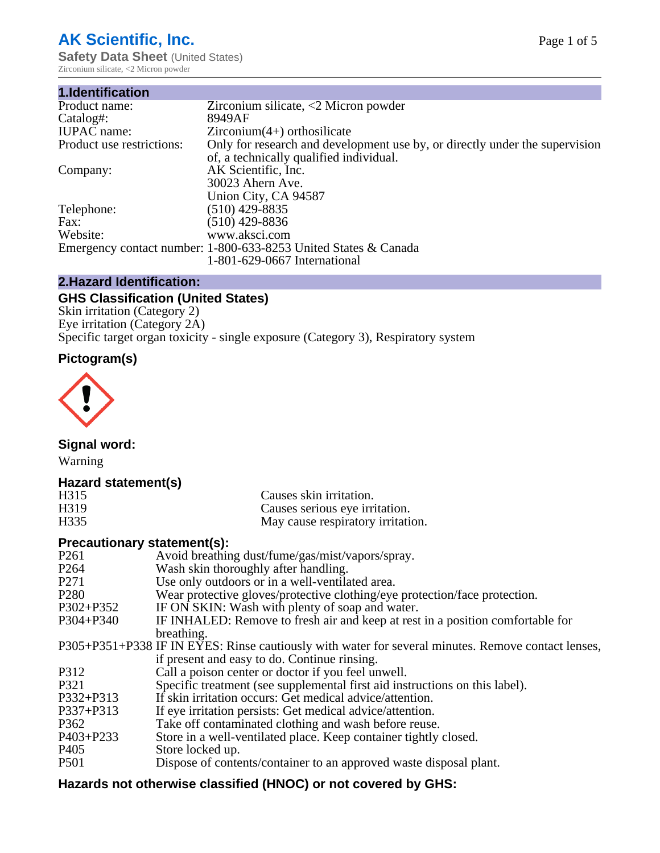# **AK Scientific, Inc.**

**Safety Data Sheet (United States)** Zirconium silicate, <2 Micron powder

| 1.Identification          |                                                                             |
|---------------------------|-----------------------------------------------------------------------------|
| Product name:             | Zirconium silicate, $\langle 2 \text{ Micron power} \rangle$                |
| Catalog#:                 | 8949AF                                                                      |
| <b>IUPAC</b> name:        | $Zirconium(4+)$ orthosilicate                                               |
| Product use restrictions: | Only for research and development use by, or directly under the supervision |
|                           | of, a technically qualified individual.                                     |
| Company:                  | AK Scientific, Inc.                                                         |
|                           | 30023 Ahern Ave.                                                            |
|                           | Union City, CA 94587                                                        |
| Telephone:                | $(510)$ 429-8835                                                            |
| Fax:                      | (510) 429-8836                                                              |
| Website:                  | www.aksci.com                                                               |
|                           | Emergency contact number: 1-800-633-8253 United States & Canada             |
|                           | 1-801-629-0667 International                                                |

# **2.Hazard Identification:**

# **GHS Classification (United States)**

Skin irritation (Category 2) Eye irritation (Category 2A) Specific target organ toxicity - single exposure (Category 3), Respiratory system

# **Pictogram(s)**



**Signal word:**

Warning

# **Hazard statement(s)**

| H315              | Causes skin irritation.           |
|-------------------|-----------------------------------|
| H <sub>3</sub> 19 | Causes serious eye irritation.    |
| H335              | May cause respiratory irritation. |

## **Precautionary statement(s):**

| P <sub>261</sub> | Avoid breathing dust/fume/gas/mist/vapors/spray.                                                   |
|------------------|----------------------------------------------------------------------------------------------------|
| P <sub>264</sub> | Wash skin thoroughly after handling.                                                               |
| P <sub>271</sub> | Use only outdoors or in a well-ventilated area.                                                    |
| P <sub>280</sub> | Wear protective gloves/protective clothing/eye protection/face protection.                         |
| P302+P352        | IF ON SKIN: Wash with plenty of soap and water.                                                    |
| $P304 + P340$    | IF INHALED: Remove to fresh air and keep at rest in a position comfortable for                     |
|                  | breathing.                                                                                         |
|                  | P305+P351+P338 IF IN EYES: Rinse cautiously with water for several minutes. Remove contact lenses, |
|                  | if present and easy to do. Continue rinsing.                                                       |
| P312             | Call a poison center or doctor if you feel unwell.                                                 |
| P321             | Specific treatment (see supplemental first aid instructions on this label).                        |
| P332+P313        | If skin irritation occurs: Get medical advice/attention.                                           |
| P337+P313        | If eye irritation persists: Get medical advice/attention.                                          |
| P362             | Take off contaminated clothing and wash before reuse.                                              |
| $P403 + P233$    | Store in a well-ventilated place. Keep container tightly closed.                                   |
| P <sub>405</sub> | Store locked up.                                                                                   |
| P <sub>501</sub> | Dispose of contents/container to an approved waste disposal plant.                                 |
|                  |                                                                                                    |

# **Hazards not otherwise classified (HNOC) or not covered by GHS:**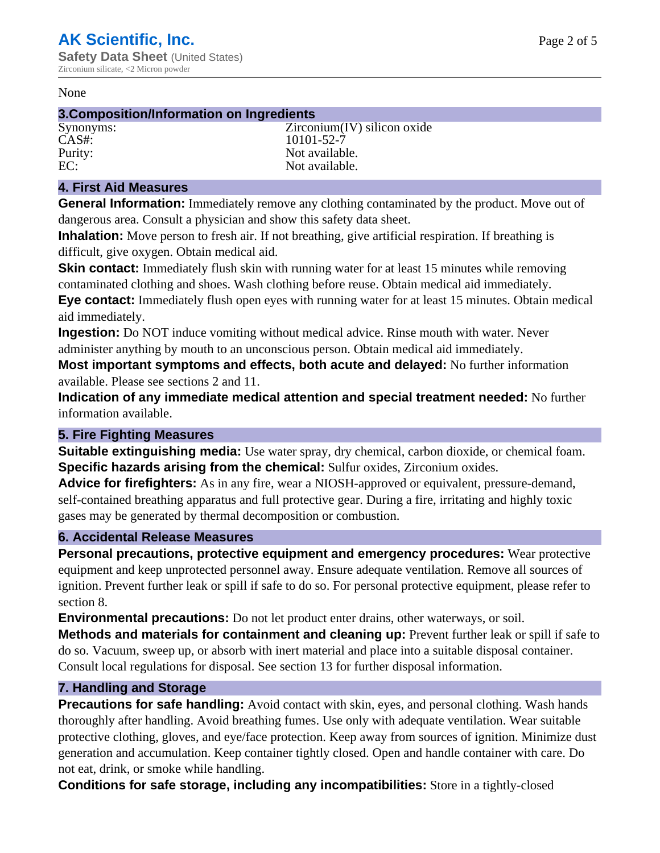#### None

## **3.Composition/Information on Ingredients**

CAS#: 10101-52-7

Synonyms: Zirconium(IV) silicon oxide Purity: Not available.<br>
EC: Not available. Not available.

## **4. First Aid Measures**

**General Information:** Immediately remove any clothing contaminated by the product. Move out of dangerous area. Consult a physician and show this safety data sheet.

**Inhalation:** Move person to fresh air. If not breathing, give artificial respiration. If breathing is difficult, give oxygen. Obtain medical aid.

**Skin contact:** Immediately flush skin with running water for at least 15 minutes while removing contaminated clothing and shoes. Wash clothing before reuse. Obtain medical aid immediately. **Eye contact:** Immediately flush open eyes with running water for at least 15 minutes. Obtain medical aid immediately.

**Ingestion:** Do NOT induce vomiting without medical advice. Rinse mouth with water. Never administer anything by mouth to an unconscious person. Obtain medical aid immediately.

**Most important symptoms and effects, both acute and delayed:** No further information available. Please see sections 2 and 11.

**Indication of any immediate medical attention and special treatment needed:** No further information available.

## **5. Fire Fighting Measures**

**Suitable extinguishing media:** Use water spray, dry chemical, carbon dioxide, or chemical foam. **Specific hazards arising from the chemical:** Sulfur oxides, Zirconium oxides.

**Advice for firefighters:** As in any fire, wear a NIOSH-approved or equivalent, pressure-demand, self-contained breathing apparatus and full protective gear. During a fire, irritating and highly toxic gases may be generated by thermal decomposition or combustion.

## **6. Accidental Release Measures**

**Personal precautions, protective equipment and emergency procedures:** Wear protective equipment and keep unprotected personnel away. Ensure adequate ventilation. Remove all sources of ignition. Prevent further leak or spill if safe to do so. For personal protective equipment, please refer to section 8.

**Environmental precautions:** Do not let product enter drains, other waterways, or soil.

**Methods and materials for containment and cleaning up:** Prevent further leak or spill if safe to do so. Vacuum, sweep up, or absorb with inert material and place into a suitable disposal container. Consult local regulations for disposal. See section 13 for further disposal information.

## **7. Handling and Storage**

**Precautions for safe handling:** Avoid contact with skin, eyes, and personal clothing. Wash hands thoroughly after handling. Avoid breathing fumes. Use only with adequate ventilation. Wear suitable protective clothing, gloves, and eye/face protection. Keep away from sources of ignition. Minimize dust generation and accumulation. Keep container tightly closed. Open and handle container with care. Do not eat, drink, or smoke while handling.

**Conditions for safe storage, including any incompatibilities:** Store in a tightly-closed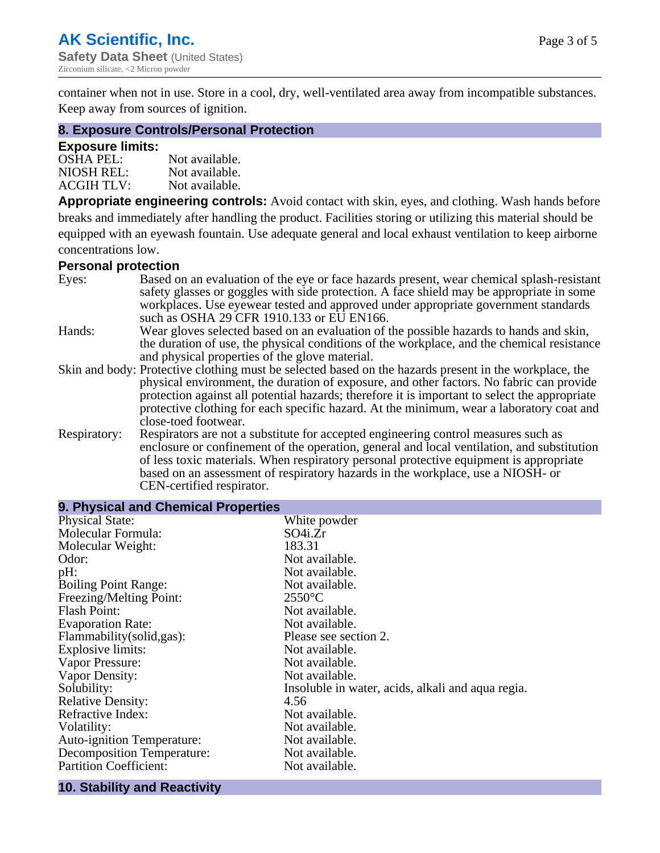container when not in use. Store in a cool, dry, well-ventilated area away from incompatible substances. Keep away from sources of ignition.

#### **8. Exposure Controls/Personal Protection**

#### **Exposure limits:**

| <b>OSHA PEL:</b>  | Not available. |
|-------------------|----------------|
| NIOSH REL:        | Not available. |
| <b>ACGIH TLV:</b> | Not available. |

**Appropriate engineering controls:** Avoid contact with skin, eyes, and clothing. Wash hands before breaks and immediately after handling the product. Facilities storing or utilizing this material should be equipped with an eyewash fountain. Use adequate general and local exhaust ventilation to keep airborne concentrations low.

#### **Personal protection**

| Eyes:        | Based on an evaluation of the eye or face hazards present, wear chemical splash-resistant<br>safety glasses or goggles with side protection. A face shield may be appropriate in some<br>workplaces. Use eyewear tested and approved under appropriate government standards                                                                                                                                             |
|--------------|-------------------------------------------------------------------------------------------------------------------------------------------------------------------------------------------------------------------------------------------------------------------------------------------------------------------------------------------------------------------------------------------------------------------------|
|              | such as OSHA 29 CFR 1910.133 or EU EN166.                                                                                                                                                                                                                                                                                                                                                                               |
| Hands:       | Wear gloves selected based on an evaluation of the possible hazards to hands and skin,<br>the duration of use, the physical conditions of the workplace, and the chemical resistance<br>and physical properties of the glove material.                                                                                                                                                                                  |
|              | Skin and body: Protective clothing must be selected based on the hazards present in the workplace, the<br>physical environment, the duration of exposure, and other factors. No fabric can provide<br>protection against all potential hazards; therefore it is important to select the appropriate<br>protective clothing for each specific hazard. At the minimum, wear a laboratory coat and<br>close-toed footwear. |
| Respiratory: | Respirators are not a substitute for accepted engineering control measures such as<br>enclosure or confinement of the operation, general and local ventilation, and substitution<br>of less toxic materials. When respiratory personal protective equipment is appropriate<br>based on an assessment of respiratory hazards in the workplace, use a NIOSH- or<br>CEN-certified respirator.                              |

| 9. Physical and Chemical Properties |                                                   |  |
|-------------------------------------|---------------------------------------------------|--|
| <b>Physical State:</b>              | White powder                                      |  |
| Molecular Formula:                  | SO4i.Zr                                           |  |
| Molecular Weight:                   | 183.31                                            |  |
| Odor:                               | Not available.                                    |  |
| pH:                                 | Not available.                                    |  |
| <b>Boiling Point Range:</b>         | Not available.                                    |  |
| Freezing/Melting Point:             | $2550^{\circ}$ C                                  |  |
| <b>Flash Point:</b>                 | Not available.                                    |  |
| <b>Evaporation Rate:</b>            | Not available.                                    |  |
| Flammability(solid,gas):            | Please see section 2.                             |  |
| <b>Explosive limits:</b>            | Not available.                                    |  |
| Vapor Pressure:                     | Not available.                                    |  |
| Vapor Density:                      | Not available.                                    |  |
| Solubility:                         | Insoluble in water, acids, alkali and aqua regia. |  |
| <b>Relative Density:</b>            | 4.56                                              |  |
| Refractive Index:                   | Not available.                                    |  |
| Volatility:                         | Not available.                                    |  |
| <b>Auto-ignition Temperature:</b>   | Not available.                                    |  |
| <b>Decomposition Temperature:</b>   | Not available.                                    |  |
| <b>Partition Coefficient:</b>       | Not available.                                    |  |
|                                     |                                                   |  |

#### **10. Stability and Reactivity**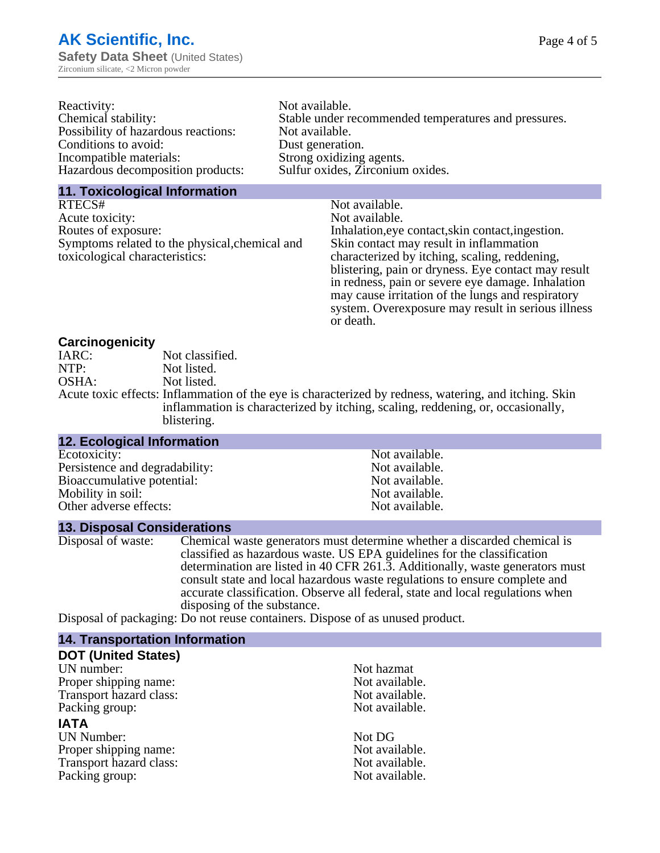| Reactivity:                         | Not available.                                       |
|-------------------------------------|------------------------------------------------------|
| Chemical stability:                 | Stable under recommended temperatures and pressures. |
| Possibility of hazardous reactions: | Not available.                                       |
| Conditions to avoid:                | Dust generation.                                     |
| Incompatible materials:             | Strong oxidizing agents.                             |
| Hazardous decomposition products:   | Sulfur oxides, Zirconium oxides.                     |
|                                     |                                                      |

#### **11. Toxicological Information**

| RTECS#                                         | Not available.                                      |
|------------------------------------------------|-----------------------------------------------------|
| Acute toxicity:                                | Not available.                                      |
| Routes of exposure:                            | Inhalation, eye contact, skin contact, ingestion.   |
| Symptoms related to the physical, chemical and | Skin contact may result in inflammation             |
| toxicological characteristics:                 | characterized by itching, scaling, reddening,       |
|                                                | blistering, pain or dryness. Eye contact may result |
|                                                | in redness, pain or severe eye damage. Inhalation   |
|                                                | may cause irritation of the lungs and respiratory   |
|                                                | system. Overexposure may result in serious illness  |

or death.

#### **Carcinogenicity**

| IARC: | Not classified.                                                                                       |
|-------|-------------------------------------------------------------------------------------------------------|
| NTP:  | Not listed.                                                                                           |
| OSHA: | Not listed.                                                                                           |
|       | Acute toxic effects: Inflammation of the eye is characterized by redness, watering, and itching. Skin |
|       | inflammation is characterized by itching, scaling, reddening, or, occasionally,                       |
|       | blistering.                                                                                           |

| <b>12. Ecological Information</b> |                |  |
|-----------------------------------|----------------|--|
| Ecotoxicity:                      | Not available. |  |
| Persistence and degradability:    | Not available. |  |
| Bioaccumulative potential:        | Not available. |  |
| Mobility in soil:                 | Not available. |  |
| Other adverse effects:            | Not available. |  |
|                                   |                |  |

#### **13. Disposal Considerations**

Disposal of waste: Chemical waste generators must determine whether a discarded chemical is classified as hazardous waste. US EPA guidelines for the classification determination are listed in 40 CFR 261.3. Additionally, waste generators must consult state and local hazardous waste regulations to ensure complete and accurate classification. Observe all federal, state and local regulations when disposing of the substance.

Disposal of packaging: Do not reuse containers. Dispose of as unused product.

| <b>14. Transportation Information</b> |                |
|---------------------------------------|----------------|
| <b>DOT (United States)</b>            |                |
| UN number:                            | Not hazmat     |
| Proper shipping name:                 | Not available. |
| Transport hazard class:               | Not available. |
| Packing group:                        | Not available. |
| <b>IATA</b>                           |                |
| <b>UN Number:</b>                     | Not DG         |
| Proper shipping name:                 | Not available. |
| Transport hazard class:               | Not available. |
| Packing group:                        | Not available. |